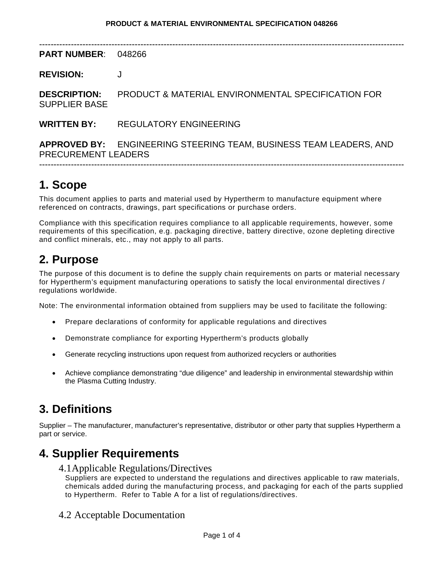| <b>PART NUMBER:</b>                         | 048266                                                                                    |  |
|---------------------------------------------|-------------------------------------------------------------------------------------------|--|
| <b>REVISION:</b>                            |                                                                                           |  |
| <b>DESCRIPTION:</b><br><b>SUPPLIER BASE</b> | <b>PRODUCT &amp; MATERIAL ENVIRONMENTAL SPECIFICATION FOR</b>                             |  |
| <b>WRITTEN BY:</b>                          | REGULATORY ENGINEERING                                                                    |  |
|                                             | APPROVED BY: ENGINEERING STEERING TEAM, BUSINESS TEAM LEADERS, AND<br>PRECUREMENT LEADERS |  |
|                                             |                                                                                           |  |

## **1. Scope**

This document applies to parts and material used by Hypertherm to manufacture equipment where referenced on contracts, drawings, part specifications or purchase orders.

Compliance with this specification requires compliance to all applicable requirements, however, some requirements of this specification, e.g. packaging directive, battery directive, ozone depleting directive and conflict minerals, etc., may not apply to all parts.

## **2. Purpose**

The purpose of this document is to define the supply chain requirements on parts or material necessary for Hypertherm's equipment manufacturing operations to satisfy the local environmental directives / regulations worldwide.

Note: The environmental information obtained from suppliers may be used to facilitate the following:

- Prepare declarations of conformity for applicable regulations and directives
- Demonstrate compliance for exporting Hypertherm's products globally
- Generate recycling instructions upon request from authorized recyclers or authorities
- Achieve compliance demonstrating "due diligence" and leadership in environmental stewardship within the Plasma Cutting Industry.

## **3. Definitions**

Supplier – The manufacturer, manufacturer's representative, distributor or other party that supplies Hypertherm a part or service.

## **4. Supplier Requirements**

4.1Applicable Regulations/Directives

Suppliers are expected to understand the regulations and directives applicable to raw materials, chemicals added during the manufacturing process, and packaging for each of the parts supplied to Hypertherm. Refer to Table A for a list of regulations/directives.

4.2 Acceptable Documentation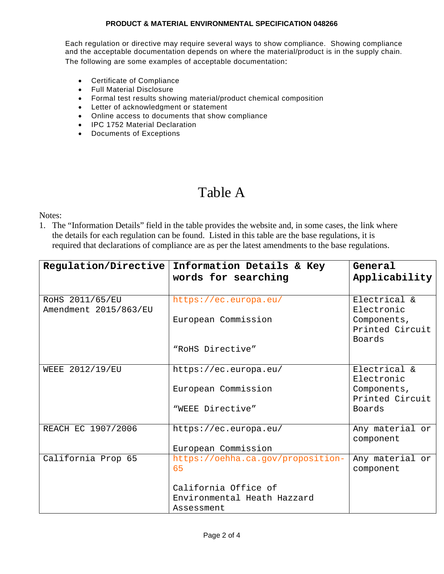#### **PRODUCT & MATERIAL ENVIRONMENTAL SPECIFICATION 048266**

Each regulation or directive may require several ways to show compliance. Showing compliance and the acceptable documentation depends on where the material/product is in the supply chain. The following are some examples of acceptable documentation:

- Certificate of Compliance
- Full Material Disclosure
- Formal test results showing material/product chemical composition
- Letter of acknowledgment or statement
- Online access to documents that show compliance
- IPC 1752 Material Declaration
- Documents of Exceptions

# Table A

Notes:

1. The "Information Details" field in the table provides the website and, in some cases, the link where the details for each regulation can be found. Listed in this table are the base regulations, it is required that declarations of compliance are as per the latest amendments to the base regulations.

| Regulation/Directive                     | Information Details & Key<br>words for searching                  | General<br>Applicability                                     |  |
|------------------------------------------|-------------------------------------------------------------------|--------------------------------------------------------------|--|
| ROHS 2011/65/EU<br>Amendment 2015/863/EU | https://ec.europa.eu/<br>European Commission                      | Electrical &<br>Electronic<br>Components,<br>Printed Circuit |  |
|                                          | "ROHS Directive"                                                  | Boards                                                       |  |
| WEEE 2012/19/EU                          | https://ec.europa.eu/                                             | Electrical &<br>Electronic                                   |  |
|                                          | European Commission                                               | Components,<br>Printed Circuit                               |  |
|                                          | "WEEE Directive"                                                  | Boards                                                       |  |
| REACH EC 1907/2006                       | https://ec.europa.eu/<br>European Commission                      | Any material or<br>component                                 |  |
| California Prop 65                       | https://oehha.ca.gov/proposition-<br>65                           | Any material or<br>component                                 |  |
|                                          | California Office of<br>Environmental Heath Hazzard<br>Assessment |                                                              |  |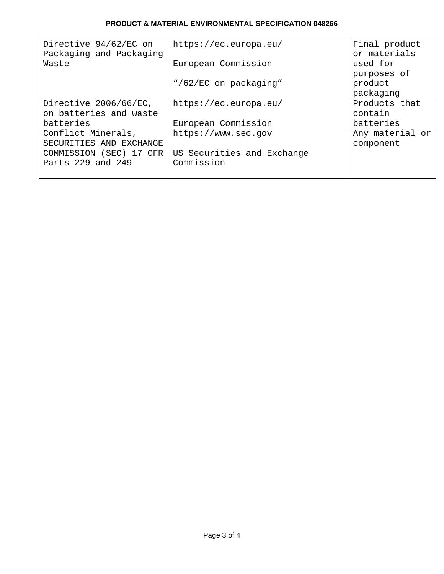### **PRODUCT & MATERIAL ENVIRONMENTAL SPECIFICATION 048266**

| Directive 94/62/EC on   | https://ec.europa.eu/      | Final product   |
|-------------------------|----------------------------|-----------------|
| Packaging and Packaging |                            | or materials    |
| Waste                   | European Commission        | used for        |
|                         |                            | purposes of     |
|                         | "/62/EC on packaging"      | product         |
|                         |                            | packaging       |
| Directive 2006/66/EC,   | https://ec.europa.eu/      | Products that   |
| on batteries and waste  |                            | contain         |
| batteries               | European Commission        | batteries       |
| Conflict Minerals,      | https://www.sec.gov        | Any material or |
| SECURITIES AND EXCHANGE |                            | component       |
| COMMISSION (SEC) 17 CFR | US Securities and Exchange |                 |
| Parts 229 and 249       | Commission                 |                 |
|                         |                            |                 |